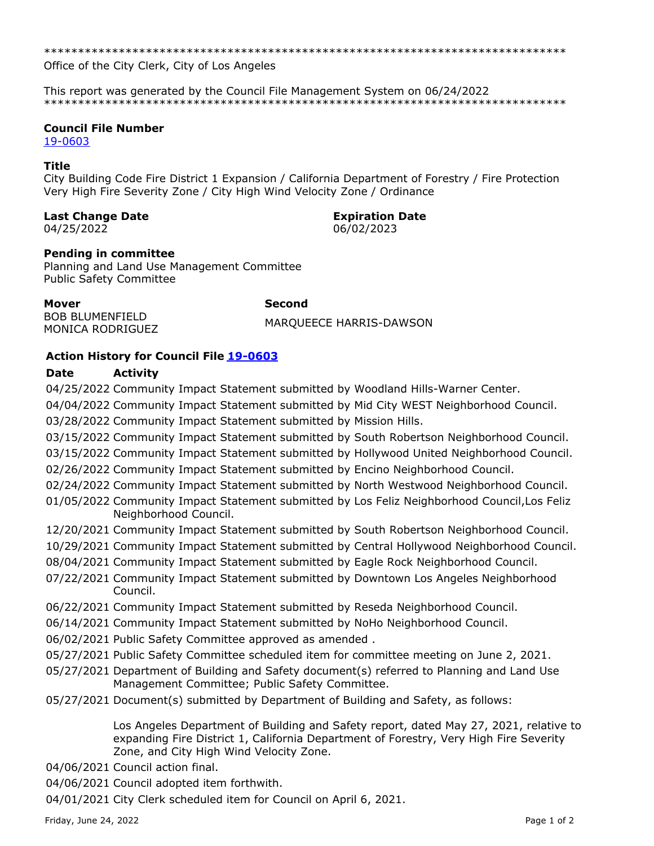Office of the City Clerk, City of Los Angeles

This report was generated by the Council File Management System on 06/24/2022 

## **Council File Number**

19-0603

## **Title**

City Building Code Fire District 1 Expansion / California Department of Forestry / Fire Protection Very High Fire Severity Zone / City High Wind Velocity Zone / Ordinance

**Second** 

## **Last Change Date**

04/25/2022

# **Expiration Date**

06/02/2023

# **Pending in committee**

Planning and Land Use Management Committee **Public Safety Committee** 

**Mover BOB BLUMENFIELD** MONICA RODRIGUEZ

MARQUEECE HARRIS-DAWSON

# **Action History for Council File 19-0603**

#### **Date Activity**

04/25/2022 Community Impact Statement submitted by Woodland Hills-Warner Center. 04/04/2022 Community Impact Statement submitted by Mid City WEST Neighborhood Council. 03/28/2022 Community Impact Statement submitted by Mission Hills. 03/15/2022 Community Impact Statement submitted by South Robertson Neighborhood Council. 03/15/2022 Community Impact Statement submitted by Hollywood United Neighborhood Council. 02/26/2022 Community Impact Statement submitted by Encino Neighborhood Council. 02/24/2022 Community Impact Statement submitted by North Westwood Neighborhood Council. 01/05/2022 Community Impact Statement submitted by Los Feliz Neighborhood Council, Los Feliz Neighborhood Council. 12/20/2021 Community Impact Statement submitted by South Robertson Neighborhood Council. 10/29/2021 Community Impact Statement submitted by Central Hollywood Neighborhood Council. 08/04/2021 Community Impact Statement submitted by Eagle Rock Neighborhood Council. 07/22/2021 Community Impact Statement submitted by Downtown Los Angeles Neighborhood Council. 06/22/2021 Community Impact Statement submitted by Reseda Neighborhood Council. 06/14/2021 Community Impact Statement submitted by NoHo Neighborhood Council. 06/02/2021 Public Safety Committee approved as amended. 05/27/2021 Public Safety Committee scheduled item for committee meeting on June 2, 2021. 05/27/2021 Department of Building and Safety document(s) referred to Planning and Land Use Management Committee; Public Safety Committee. 05/27/2021 Document(s) submitted by Department of Building and Safety, as follows: Los Angeles Department of Building and Safety report, dated May 27, 2021, relative to expanding Fire District 1, California Department of Forestry, Very High Fire Severity Zone, and City High Wind Velocity Zone. 04/06/2021 Council action final. 04/06/2021 Council adopted item forthwith. 04/01/2021 City Clerk scheduled item for Council on April 6, 2021.